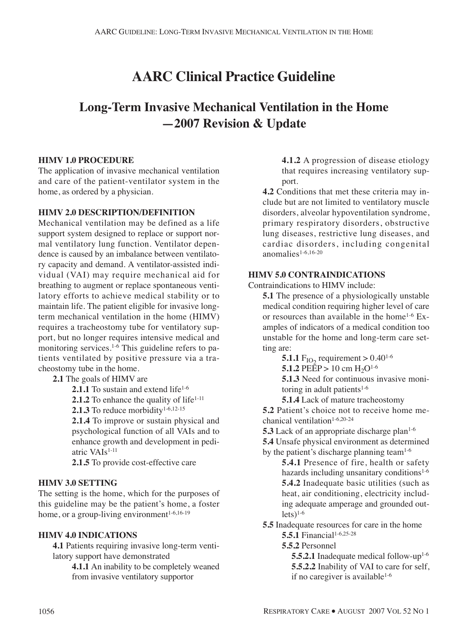# **AARC Clinical Practice Guideline**

## **Long-Term Invasive Mechanical Ventilation in the Home —2007 Revision & Update**

#### **HIMV 1.0 PROCEDURE**

The application of invasive mechanical ventilation and care of the patient-ventilator system in the home, as ordered by a physician.

#### **HIMV 2.0 DESCRIPTION/DEFINITION**

Mechanical ventilation may be defined as a life support system designed to replace or support normal ventilatory lung function. Ventilator dependence is caused by an imbalance between ventilatory capacity and demand. A ventilator-assisted individual (VAI) may require mechanical aid for breathing to augment or replace spontaneous ventilatory efforts to achieve medical stability or to maintain life. The patient eligible for invasive longterm mechanical ventilation in the home (HIMV) requires a tracheostomy tube for ventilatory support, but no longer requires intensive medical and monitoring services.<sup>1-6</sup> This guideline refers to patients ventilated by positive pressure via a tracheostomy tube in the home.

**2.1** The goals of HIMV are

**2.1.1** To sustain and extend life<sup>1-6</sup>

**2.1.2** To enhance the quality of life<sup>1-11</sup>

2.1.3 To reduce morbidity<sup>1-6,12-15</sup>

**2.1.4** To improve or sustain physical and psychological function of all VAIs and to enhance growth and development in pediatric VAIs1-11

**2.1.5** To provide cost-effective care

#### **HIMV 3.0 SETTING**

The setting is the home, which for the purposes of this guideline may be the patient's home, a foster home, or a group-living environment<sup>1-6,16-19</sup>

#### **HIMV 4.0 INDICATIONS**

**4.1** Patients requiring invasive long-term ventilatory support have demonstrated

**4.1.1** An inability to be completely weaned from invasive ventilatory supportor

**4.1.2** A progression of disease etiology that requires increasing ventilatory support.

**4.2** Conditions that met these criteria may include but are not limited to ventilatory muscle disorders, alveolar hypoventilation syndrome, primary respiratory disorders, obstructive lung diseases, restrictive lung diseases, and cardiac disorders, including congenital anomalies1-6,16-20

#### **HIMV 5.0 CONTRAINDICATIONS**

Contraindications to HIMV include:

**5.1** The presence of a physiologically unstable medical condition requiring higher level of care or resources than available in the home<sup>1-6</sup> Examples of indicators of a medical condition too unstable for the home and long-term care setting are:

**5.1.1** F<sub>IO2</sub> requirement  $> 0.40^{1-6}$ 

**5.1.2** PEEP > 10 cm  $H_2O^{1-6}$ 

**5.1.3** Need for continuous invasive monitoring in adult patients $1-6$ 

**5.1.4** Lack of mature tracheostomy

**5.2** Patient's choice not to receive home mechanical ventilation1-6,20-24

**5.3** Lack of an appropriate discharge plan<sup>1-6</sup> **5.4** Unsafe physical environment as determined by the patient's discharge planning team $1-6$ 

**5.4.1** Presence of fire, health or safety hazards including unsanitary conditions<sup>1-6</sup> **5.4.2** Inadequate basic utilities (such as heat, air conditioning, electricity including adequate amperage and grounded out $lets)$ <sup>1-6</sup>

**5.5** Inadequate resources for care in the home **5.5.1** Financial<sup>1-6,25-28</sup>

**5.5.2** Personnel

**5.5.2.1** Inadequate medical follow-up<sup>1-6</sup> **5.5.2.2** Inability of VAI to care for self, if no caregiver is available<sup>1-6</sup>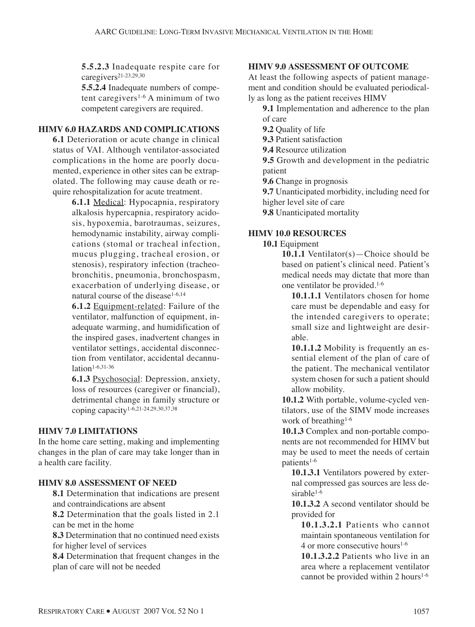**5.5.2.3** Inadequate respite care for caregivers21-23,29,30

**5.5.2.4** Inadequate numbers of competent caregivers<sup>1-6</sup> A minimum of two competent caregivers are required.

### **HIMV 6.0 HAZARDS AND COMPLICATIONS**

**6.1** Deterioration or acute change in clinical status of VAI. Although ventilator-associated complications in the home are poorly documented, experience in other sites can be extrapolated. The following may cause death or require rehospitalization for acute treatment.

> **6.1.1** Medical: Hypocapnia, respiratory alkalosis hypercapnia, respiratory acidosis, hypoxemia, barotraumas, seizures, hemodynamic instability, airway complications (stomal or tracheal infection, mucus plugging, tracheal erosion, or stenosis), respiratory infection (tracheobronchitis, pneumonia, bronchospasm, exacerbation of underlying disease, or natural course of the disease<sup>1-6,14</sup>

> **6.1.2** Equipment-related: Failure of the ventilator, malfunction of equipment, inadequate warming, and humidification of the inspired gases, inadvertent changes in ventilator settings, accidental disconnection from ventilator, accidental decannulation<sup>1-6,31-36</sup>

> **6.1.3** Psychosocial: Depression, anxiety, loss of resources (caregiver or financial), detrimental change in family structure or coping capacity1-6,21-24,29,30,37,38

#### **HIMV 7.0 LIMITATIONS**

In the home care setting, making and implementing changes in the plan of care may take longer than in a health care facility.

#### **HIMV 8.0 ASSESSMENT OF NEED**

**8.1** Determination that indications are present and contraindications are absent

**8.2** Determination that the goals listed in 2.1 can be met in the home

**8.3** Determination that no continued need exists for higher level of services

**8.4** Determination that frequent changes in the plan of care will not be needed

#### **HIMV 9.0 ASSESSMENT OF OUTCOME**

At least the following aspects of patient management and condition should be evaluated periodically as long as the patient receives HIMV

- **9.1** Implementation and adherence to the plan of care
	- **9.2** Quality of life

**9.3** Patient satisfaction

**9.4** Resource utilization

**9.5** Growth and development in the pediatric patient

**9.6** Change in prognosis

**9.7** Unanticipated morbidity, including need for higher level site of care

**9.8** Unanticipated mortality

#### **HIMV 10.0 RESOURCES**

#### **10.1** Equipment

**10.1.1** Ventilator(s)—Choice should be based on patient's clinical need. Patient's medical needs may dictate that more than one ventilator be provided.1-6

**10.1.1.1** Ventilators chosen for home care must be dependable and easy for the intended caregivers to operate; small size and lightweight are desirable.

**10.1.1.2** Mobility is frequently an essential element of the plan of care of the patient. The mechanical ventilator system chosen for such a patient should allow mobility.

**10.1.2** With portable, volume-cycled ventilators, use of the SIMV mode increases work of breathing<sup>1-6</sup>

**10.1.3** Complex and non-portable components are not recommended for HIMV but may be used to meet the needs of certain patients<sup>1-6</sup>

**10.1.3.1** Ventilators powered by external compressed gas sources are less desirable<sup>1-6</sup>

**10.1.3.2** A second ventilator should be provided for

**10.1.3.2.1** Patients who cannot maintain spontaneous ventilation for 4 or more consecutive hours<sup>1-6</sup>

**10.1.3.2.2** Patients who live in an area where a replacement ventilator cannot be provided within 2 hours<sup>1-6</sup>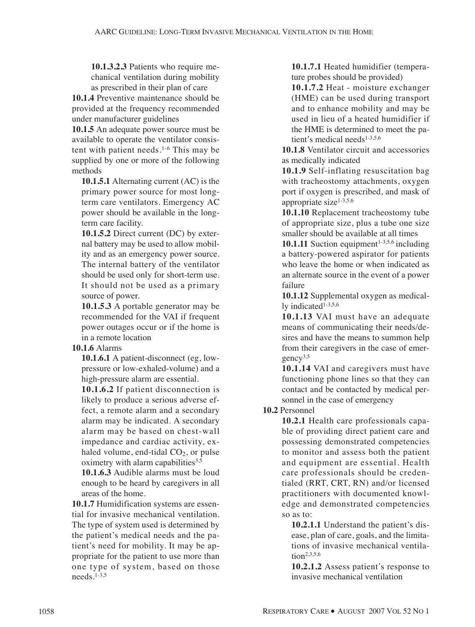**10.1.3.2.3** Patients who require mechanical ventilation during mobility as prescribed in their plan of care

**10.1.4** Preventive maintenance should be provided at the frequency recommended under manufacturer guidelines

**10.1.5** An adequate power source must be available to operate the ventilator consistent with patient needs.1-6 This may be supplied by one or more of the following methods

**10.1.5.1** Alternating current (AC) is the primary power source for most longterm care ventilators. Emergency AC power should be available in the longterm care facility.

**10.1.5.2** Direct current (DC) by external battery may be used to allow mobility and as an emergency power source. The internal battery of the ventilator should be used only for short-term use. It should not be used as a primary source of power.

**10.1.5.3** A portable generator may be recommended for the VAI if frequent power outages occur or if the home is in a remote location

#### **10.1.6** Alarms

**10.1.6.1** A patient-disconnect (eg, lowpressure or low-exhaled-volume) and a high-pressure alarm are essential.

**10.1.6.2** If patient disconnection is likely to produce a serious adverse effect, a remote alarm and a secondary alarm may be indicated. A secondary alarm may be based on chest-wall impedance and cardiac activity, exhaled volume, end-tidal  $CO<sub>2</sub>$ , or pulse oximetry with alarm capabilities<sup>3,5</sup>

**10.1.6.3** Audible alarms must be loud enough to be heard by caregivers in all areas of the home.

**10.1.7** Humidification systems are essential for invasive mechanical ventilation. The type of system used is determined by the patient's medical needs and the patient's need for mobility. It may be appropriate for the patient to use more than one type of system, based on those needs $1-3,5$ 

**10.1.7.1** Heated humidifier (temperature probes should be provided)

**10.1.7.2** Heat - moisture exchanger (HME) can be used during transport and to enhance mobility and may be used in lieu of a heated humidifier if the HME is determined to meet the patient's medical needs $1-3,5,6$ 

**10.1.8** Ventilator circuit and accessories as medically indicated

**10.1.9** Self-inflating resuscitation bag with tracheostomy attachments, oxygen port if oxygen is prescribed, and mask of appropriate size $1-3,5,6$ 

**10.1.10** Replacement tracheostomy tube of appropriate size, plus a tube one size smaller should be available at all times

**10.1.11** Suction equipment<sup> $1-3,5,6$ </sup> including a battery-powered aspirator for patients who leave the home or when indicated as an alternate source in the event of a power failure

**10.1.12** Supplemental oxygen as medically indicated<sup>1-3,5,6</sup>

**10.1.13** VAI must have an adequate means of communicating their needs/desires and have the means to summon help from their caregivers in the case of emergency3,5

**10.1.14** VAI and caregivers must have functioning phone lines so that they can contact and be contacted by medical personnel in the case of emergency

#### **10.2** Personnel

**10.2.1** Health care professionals capable of providing direct patient care and possessing demonstrated competencies to monitor and assess both the patient and equipment are essential. Health care professionals should be credentialed (RRT, CRT, RN) and/or licensed practitioners with documented knowledge and demonstrated competencies so as to:

**10.2.1.1** Understand the patient's disease, plan of care, goals, and the limitations of invasive mechanical ventilation<sup>2,3,5,6</sup>

**10.2.1.2** Assess patient's response to invasive mechanical ventilation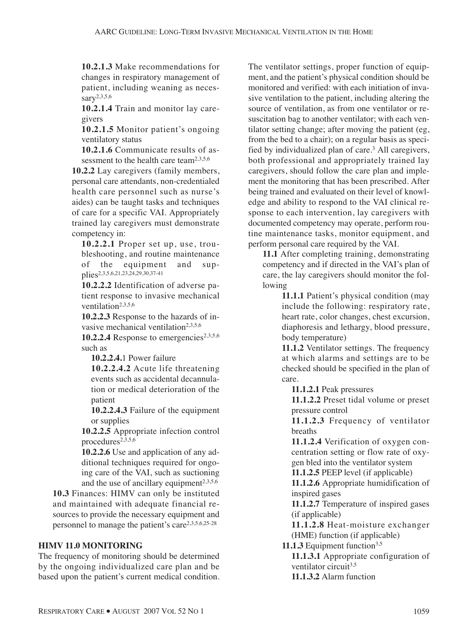**10.2.1.3** Make recommendations for changes in respiratory management of patient, including weaning as neces $s$ ary<sup>2,3,5,6</sup>

**10.2.1.4** Train and monitor lay caregivers

**10.2.1.5** Monitor patient's ongoing ventilatory status

**10.2.1.6** Communicate results of assessment to the health care team<sup>2,3,5,6</sup>

**10.2.2** Lay caregivers (family members, personal care attendants, non-credentialed health care personnel such as nurse's aides) can be taught tasks and techniques of care for a specific VAI. Appropriately trained lay caregivers must demonstrate competency in:

**10.2.2.1** Proper set up, use, troubleshooting, and routine maintenance of the equipment and supplies2,3,5,6,21,23,24,29,30,37-41

**10.2.2.2** Identification of adverse patient response to invasive mechanical ventilation<sup>2,3,5,6</sup>

**10.2.2.3** Response to the hazards of invasive mechanical ventilation<sup>2,3,5,6</sup>

10.2.2.4 Response to emergencies<sup>2,3,5,6</sup> such as

**10.2.2.4.**1 Power failure

**10.2.2.4.2** Acute life threatening events such as accidental decannulation or medical deterioration of the patient

**10.2.2.4.3** Failure of the equipment or supplies

**10.2.2.5** Appropriate infection control procedures<sup>2,3,5,6</sup>

**10.2.2.6** Use and application of any additional techniques required for ongoing care of the VAI, such as suctioning and the use of ancillary equipment<sup> $2,3,5,6$ </sup>

**10.3** Finances: HIMV can only be instituted and maintained with adequate financial resources to provide the necessary equipment and personnel to manage the patient's care2,3,5,6,25-28

#### **HIMV 11.0 MONITORING**

The frequency of monitoring should be determined by the ongoing individualized care plan and be based upon the patient's current medical condition. The ventilator settings, proper function of equipment, and the patient's physical condition should be monitored and verified: with each initiation of invasive ventilation to the patient, including altering the source of ventilation, as from one ventilator or resuscitation bag to another ventilator; with each ventilator setting change; after moving the patient (eg, from the bed to a chair); on a regular basis as specified by individualized plan of care.3 All caregivers, both professional and appropriately trained lay caregivers, should follow the care plan and implement the monitoring that has been prescribed. After being trained and evaluated on their level of knowledge and ability to respond to the VAI clinical response to each intervention, lay caregivers with documented competency may operate, perform routine maintenance tasks, monitor equipment, and perform personal care required by the VAI.

**11.1** After completing training, demonstrating competency and if directed in the VAI's plan of care, the lay caregivers should monitor the following

> **11.1.1** Patient's physical condition (may include the following: respiratory rate, heart rate, color changes, chest excursion, diaphoresis and lethargy, blood pressure, body temperature)

> **11.1.2** Ventilator settings. The frequency at which alarms and settings are to be checked should be specified in the plan of care.

**11.1.2.1** Peak pressures

**11.1.2.2** Preset tidal volume or preset pressure control

**11.1.2.3** Frequency of ventilator breaths

**11.1.2.4** Verification of oxygen concentration setting or flow rate of oxygen bled into the ventilator system

**11.1.2.5** PEEP level (if applicable)

**11.1.2.6** Appropriate humidification of inspired gases

**11.1.2.7** Temperature of inspired gases (if applicable)

**11.1.2.8** Heat-moisture exchanger (HME) function (if applicable)

**11.1.3** Equipment function<sup>3,5</sup>

**11.1.3.1** Appropriate configuration of ventilator circuit<sup>3,5</sup> **11.1.3.2** Alarm function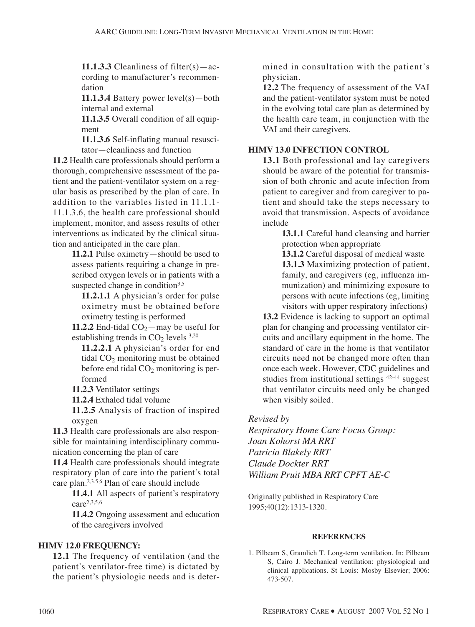**11.1.3.3** Cleanliness of filter(s)—according to manufacturer's recommendation

**11.1.3.4** Battery power level(s)—both internal and external

**11.1.3.5** Overall condition of all equipment

**11.1.3.6** Self-inflating manual resuscitator—cleanliness and function

**11.2** Health care professionals should perform a thorough, comprehensive assessment of the patient and the patient-ventilator system on a regular basis as prescribed by the plan of care. In addition to the variables listed in 11.1.1- 11.1.3.6, the health care professional should implement, monitor, and assess results of other interventions as indicated by the clinical situation and anticipated in the care plan.

> **11.2.1** Pulse oximetry—should be used to assess patients requiring a change in prescribed oxygen levels or in patients with a suspected change in condition $3,5$

**11.2.1.1** A physician's order for pulse oximetry must be obtained before oximetry testing is performed

**11.2.2** End-tidal  $CO_2$ —may be useful for establishing trends in  $CO<sub>2</sub>$  levels  $3,20$ 

**11.2.2.1** A physician's order for end tidal  $CO<sub>2</sub>$  monitoring must be obtained before end tidal  $CO<sub>2</sub>$  monitoring is performed

**11.2.3** Ventilator settings

**11.2.4** Exhaled tidal volume

**11.2.5** Analysis of fraction of inspired oxygen

**11.3** Health care professionals are also responsible for maintaining interdisciplinary communication concerning the plan of care

**11.4** Health care professionals should integrate respiratory plan of care into the patient's total care plan.2,3,5,6 Plan of care should include

> **11.4.1** All aspects of patient's respiratory care2,3,5,6

> **11.4.2** Ongoing assessment and education of the caregivers involved

#### **HIMV 12.0 FREQUENCY:**

**12.1** The frequency of ventilation (and the patient's ventilator-free time) is dictated by the patient's physiologic needs and is deter-

mined in consultation with the patient's physician.

**12.2** The frequency of assessment of the VAI and the patient-ventilator system must be noted in the evolving total care plan as determined by the health care team, in conjunction with the VAI and their caregivers.

#### **HIMV 13.0 INFECTION CONTROL**

**13.1** Both professional and lay caregivers should be aware of the potential for transmission of both chronic and acute infection from patient to caregiver and from caregiver to patient and should take the steps necessary to avoid that transmission. Aspects of avoidance include

**13.1.1** Careful hand cleansing and barrier protection when appropriate

**13.1.2** Careful disposal of medical waste **13.1.3** Maximizing protection of patient, family, and caregivers (eg, influenza immunization) and minimizing exposure to persons with acute infections (eg, limiting visitors with upper respiratory infections)

**13.2** Evidence is lacking to support an optimal plan for changing and processing ventilator circuits and ancillary equipment in the home. The standard of care in the home is that ventilator circuits need not be changed more often than once each week. However, CDC guidelines and studies from institutional settings 42-44 suggest that ventilator circuits need only be changed when visibly soiled.

#### *Revised by*

*Respiratory Home Care Focus Group: Joan Kohorst MA RRT Patricia Blakely RRT Claude Dockter RRT William Pruit MBA RRT CPFT AE-C*

Originally published in Respiratory Care 1995;40(12):1313-1320.

#### **REFERENCES**

1. Pilbeam S, Gramlich T. Long-term ventilation. In: Pilbeam S, Cairo J. Mechanical ventilation: physiological and clinical applications. St Louis: Mosby Elsevier; 2006: 473-507.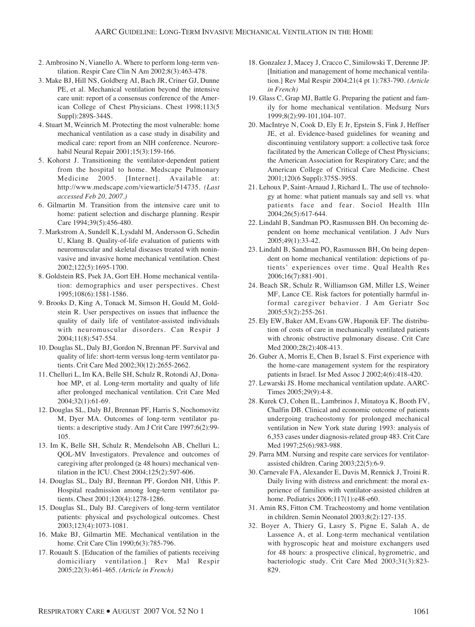- 2. Ambrosino N, Vianello A. Where to perform long-term ventilation. Respir Care Clin N Am 2002;8(3):463-478.
- 3. Make BJ, Hill NS, Goldberg AI, Bach JR, Criner GJ, Dunne PE, et al. Mechanical ventilation beyond the intensive care unit: report of a consensus conference of the American College of Chest Physicians. Chest 1998;113(5 Suppl):289S-344S.
- 4. Stuart M, Weinrich M. Protecting the most vulnerable: home mechanical ventilation as a case study in disability and medical care: report from an NIH conference. Neurorehabil Neural Repair 2001;15(3):159-166.
- 5. Kohorst J. Transitioning the ventilator-dependent patient from the hospital to home. Medscape Pulmonary Medicine 2005. [Internet]. Available at: http://www.medscape.com/viewarticle/514735. *(Last accessed Feb 20, 2007.)*
- 6. Gilmartin M. Transition from the intensive care unit to home: patient selection and discharge planning. Respir Care 1994;39(5):456-480.
- 7. Markstrom A, Sundell K, Lysdahl M, Andersson G, Schedin U, Klang B. Quality-of-life evaluation of patients with neuromuscular and skeletal diseases treated with noninvasive and invasive home mechanical ventilation. Chest 2002;122(5):1695-1700.
- 8. Goldstein RS, Psek JA, Gort EH. Home mechanical ventilation: demographics and user perspectives. Chest 1995;108(6):1581-1586.
- 9. Brooks D, King A, Tonack M, Simson H, Gould M, Goldstein R. User perspectives on issues that influence the quality of daily life of ventilator-assisted individuals with neuromuscular disorders. Can Respir J 2004;11(8):547-554.
- 10. Douglas SL, Daly BJ, Gordon N, Brennan PF. Survival and quality of life: short-term versus long-term ventilator patients. Crit Care Med 2002;30(12):2655-2662.
- 11. Chelluri L, Im KA, Belle SH, Schulz R, Rotondi AJ, Donahoe MP, et al. Long-term mortality and qualty of life after prolonged mechanical ventilation. Crit Care Med 2004;32(1):61-69.
- 12. Douglas SL, Daly BJ, Brennan PF, Harris S, Nochomovitz M, Dyer MA. Outcomes of long-term ventilator patients: a descriptive study. Am J Crit Care 1997;6(2):99- 105.
- 13. Im K, Belle SH, Schulz R, Mendelsohn AB, Chelluri L; QOL-MV Investigators. Prevalence and outcomes of caregiving after prolonged  $(\geq 48$  hours) mechanical ventilation in the ICU. Chest 2004;125(2):597-606.
- 14. Douglas SL, Daly BJ, Brennan PF, Gordon NH, Uthis P. Hospital readmission among long-term ventilator patients. Chest 2001;120(4):1278-1286.
- 15. Douglas SL, Daly BJ. Caregivers of long-term ventilator patients: physical and psychological outcomes. Chest 2003;123(4):1073-1081.
- 16. Make BJ, Gilmartin ME. Mechanical ventilation in the home. Crit Care Clin 1990;6(3):785-796.
- 17. Rouault S. [Education of the families of patients receiving domiciliary ventilation.] Rev Mal Respir 2005;22(3):461-465. *(Article in French)*
- 18. Gonzalez J, Macey J, Cracco C, Similowski T, Derenne JP. [Initiation and management of home mechanical ventilation.] Rev Mal Respir 2004;21(4 pt 1):783-790. *(Article in French)*
- 19. Glass C, Grap MJ, Battle G. Preparing the patient and family for home mechanical ventilation. Medsurg Nurs 1999;8(2):99-101,104-107.
- 20. MacIntrye N, Cook D, Ely E Jr, Epstein S, Fink J, Heffner JE, et al. Evidence-based guidelines for weaning and discontinuing ventilatory support: a collective task force facilitated by the American College of Chest Physicians; the American Association for Respiratory Care; and the American College of Critical Care Medicine. Chest 2001;120(6 Suppl):375S-395S.
- 21. Lehoux P, Saint-Arnaud J, Richard L. The use of technology at home: what patient manuals say and sell vs. what patients face and fear. Sociol Health Illn 2004;26(5):617-644.
- 22. Lindahl B, Sandman PO, Rasmussen BH. On becoming dependent on home mechanical ventilation. J Adv Nurs 2005;49(1):33-42.
- 23. Lindahl B, Sandman PO, Rasmussen BH, On being dependent on home mechanical ventilation: depictions of patients' experiences over time. Qual Health Res 2006;16(7):881-901.
- 24. Beach SR, Schulz R, Williamson GM, Miller LS, Weiner MF, Lance CE. Risk factors for potentially harmful informal caregiver behavior. J Am Geriatr Soc 2005;53(2):255-261.
- 25. Ely EW, Baker AM, Evans GW, Haponik EF. The distribution of costs of care in mechanically ventilated patients with chronic obstructive pulmonary disease. Crit Care Med 2000;28(2):408-413.
- 26. Guber A, Morris E, Chen B, Israel S. First experience with the home-care management system for the respiratory patients in Israel. Isr Med Assoc J 2002;4(6):418-420.
- 27. Lewarski JS. Home mechanical ventilation update. AARC-Times 2005;29(9):4-8.
- 28. Kurek CJ, Cohen IL, Lambrinos J, Minatoya K, Booth FV, Chalfin DB. Clinical and economic outcome of patients undergoing tracheostomy for prolonged mechanical ventilation in New York state during 1993: analysis of 6,353 cases under diagnosis-related group 483. Crit Care Med 1997;25(6):983-988.
- 29. Parra MM. Nursing and respite care services for ventilatorassisted children. Caring 2003;22(5):6-9.
- 30. Carnevale FA, Alexander E, Davis M, Rennick J, Troini R. Daily living with distress and enrichment: the moral experience of families with ventilator-assisted children at home. Pediatrics 2006;117(1):e48-e60.
- 31. Amin RS, Fitton CM. Tracheostomy and home ventilation in children. Semin Neonatol 2003;8(2):127-135.
- 32. Boyer A, Thiery G, Lasry S, Pigne E, Salah A, de Lassence A, et al. Long-term mechanical ventilation with hygroscopic heat and moisture exchangers used for 48 hours: a prospective clinical, hygrometric, and bacteriologic study. Crit Care Med 2003;31(3):823- 829.